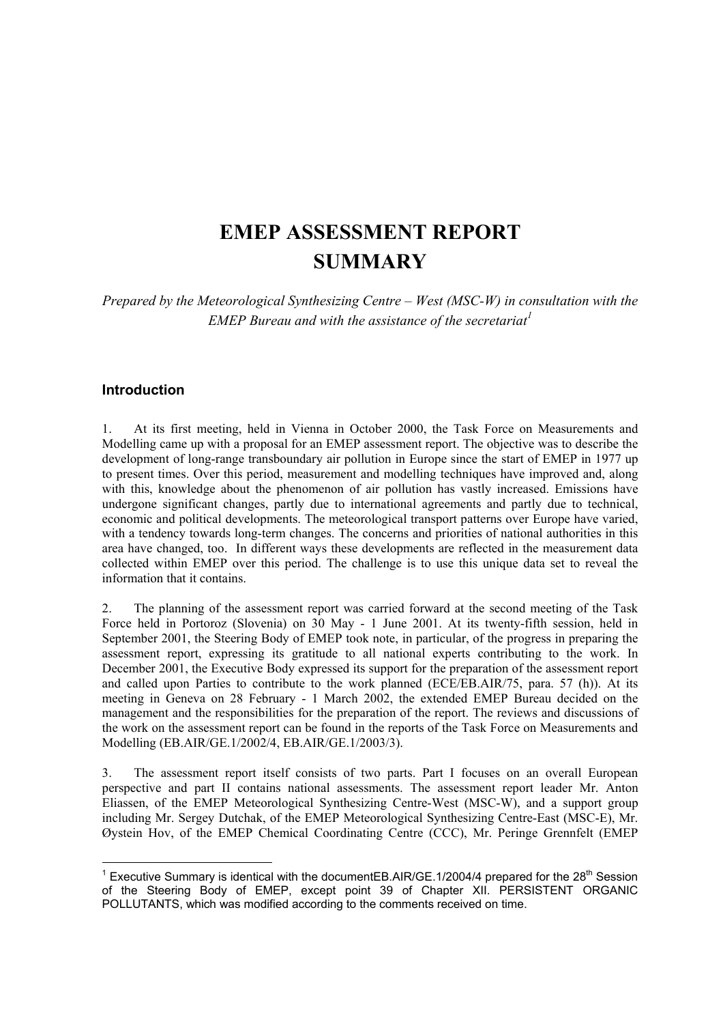# **EMEP ASSESSMENT REPORT SUMMARY**

*Prepared by the Meteorological Synthesizing Centre – West (MSC-W) in consultation with the EMEP Bureau and with the assistance of the secretariat<sup>1</sup>*

# **Introduction**

1. At its first meeting, held in Vienna in October 2000, the Task Force on Measurements and Modelling came up with a proposal for an EMEP assessment report. The objective was to describe the development of long-range transboundary air pollution in Europe since the start of EMEP in 1977 up to present times. Over this period, measurement and modelling techniques have improved and, along with this, knowledge about the phenomenon of air pollution has vastly increased. Emissions have undergone significant changes, partly due to international agreements and partly due to technical, economic and political developments. The meteorological transport patterns over Europe have varied, with a tendency towards long-term changes. The concerns and priorities of national authorities in this area have changed, too. In different ways these developments are reflected in the measurement data collected within EMEP over this period. The challenge is to use this unique data set to reveal the information that it contains.

2. The planning of the assessment report was carried forward at the second meeting of the Task Force held in Portoroz (Slovenia) on 30 May - 1 June 2001. At its twenty-fifth session, held in September 2001, the Steering Body of EMEP took note, in particular, of the progress in preparing the assessment report, expressing its gratitude to all national experts contributing to the work. In December 2001, the Executive Body expressed its support for the preparation of the assessment report and called upon Parties to contribute to the work planned (ECE/EB.AIR/75, para. 57 (h)). At its meeting in Geneva on 28 February - 1 March 2002, the extended EMEP Bureau decided on the management and the responsibilities for the preparation of the report. The reviews and discussions of the work on the assessment report can be found in the reports of the Task Force on Measurements and Modelling (EB.AIR/GE.1/2002/4, EB.AIR/GE.1/2003/3).

3. The assessment report itself consists of two parts. Part I focuses on an overall European perspective and part II contains national assessments. The assessment report leader Mr. Anton Eliassen, of the EMEP Meteorological Synthesizing Centre-West (MSC-W), and a support group including Mr. Sergey Dutchak, of the EMEP Meteorological Synthesizing Centre-East (MSC-E), Mr. Øystein Hov, of the EMEP Chemical Coordinating Centre (CCC), Mr. Peringe Grennfelt (EMEP

<sup>&</sup>lt;sup>1</sup> Executive Summary is identical with the documentEB.AIR/GE.1/2004/4 prepared for the 28<sup>th</sup> Session of the Steering Body of EMEP, except point 39 of Chapter XII. PERSISTENT ORGANIC POLLUTANTS, which was modified according to the comments received on time.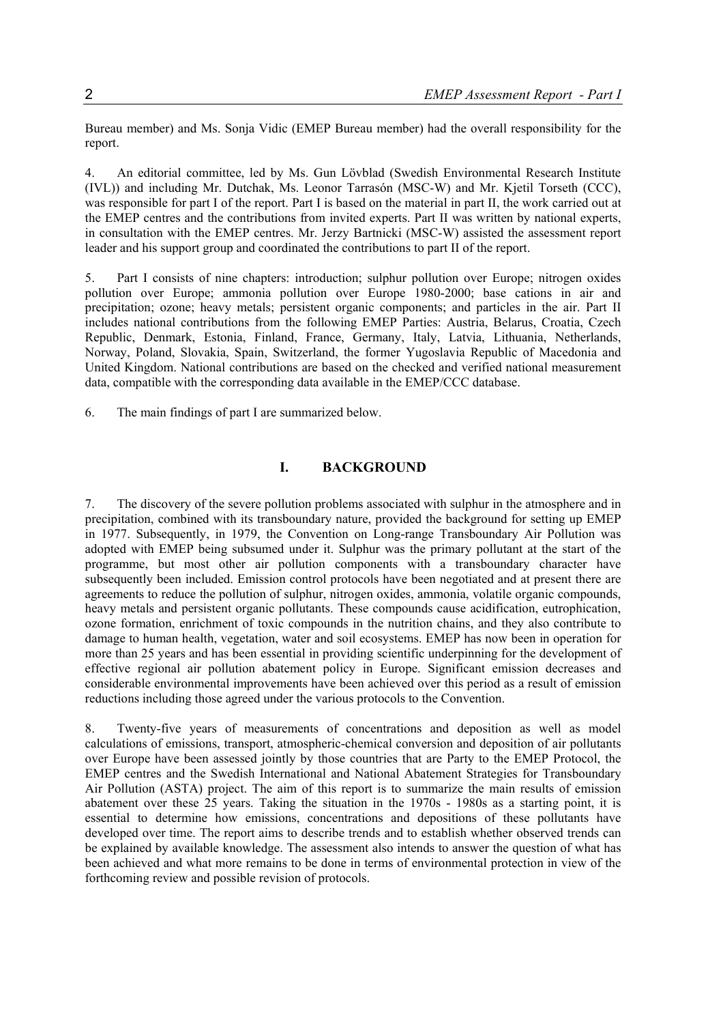Bureau member) and Ms. Sonja Vidic (EMEP Bureau member) had the overall responsibility for the report.

4. An editorial committee, led by Ms. Gun Lövblad (Swedish Environmental Research Institute (IVL)) and including Mr. Dutchak, Ms. Leonor Tarrasón (MSC-W) and Mr. Kjetil Torseth (CCC), was responsible for part I of the report. Part I is based on the material in part II, the work carried out at the EMEP centres and the contributions from invited experts. Part II was written by national experts, in consultation with the EMEP centres. Mr. Jerzy Bartnicki (MSC-W) assisted the assessment report leader and his support group and coordinated the contributions to part II of the report.

5. Part I consists of nine chapters: introduction; sulphur pollution over Europe; nitrogen oxides pollution over Europe; ammonia pollution over Europe 1980-2000; base cations in air and precipitation; ozone; heavy metals; persistent organic components; and particles in the air. Part II includes national contributions from the following EMEP Parties: Austria, Belarus, Croatia, Czech Republic, Denmark, Estonia, Finland, France, Germany, Italy, Latvia, Lithuania, Netherlands, Norway, Poland, Slovakia, Spain, Switzerland, the former Yugoslavia Republic of Macedonia and United Kingdom. National contributions are based on the checked and verified national measurement data, compatible with the corresponding data available in the EMEP/CCC database.

6. The main findings of part I are summarized below.

## **I. BACKGROUND**

7. The discovery of the severe pollution problems associated with sulphur in the atmosphere and in precipitation, combined with its transboundary nature, provided the background for setting up EMEP in 1977. Subsequently, in 1979, the Convention on Long-range Transboundary Air Pollution was adopted with EMEP being subsumed under it. Sulphur was the primary pollutant at the start of the programme, but most other air pollution components with a transboundary character have subsequently been included. Emission control protocols have been negotiated and at present there are agreements to reduce the pollution of sulphur, nitrogen oxides, ammonia, volatile organic compounds, heavy metals and persistent organic pollutants. These compounds cause acidification, eutrophication, ozone formation, enrichment of toxic compounds in the nutrition chains, and they also contribute to damage to human health, vegetation, water and soil ecosystems. EMEP has now been in operation for more than 25 years and has been essential in providing scientific underpinning for the development of effective regional air pollution abatement policy in Europe. Significant emission decreases and considerable environmental improvements have been achieved over this period as a result of emission reductions including those agreed under the various protocols to the Convention.

8. Twenty-five years of measurements of concentrations and deposition as well as model calculations of emissions, transport, atmospheric-chemical conversion and deposition of air pollutants over Europe have been assessed jointly by those countries that are Party to the EMEP Protocol, the EMEP centres and the Swedish International and National Abatement Strategies for Transboundary Air Pollution (ASTA) project. The aim of this report is to summarize the main results of emission abatement over these 25 years. Taking the situation in the 1970s - 1980s as a starting point, it is essential to determine how emissions, concentrations and depositions of these pollutants have developed over time. The report aims to describe trends and to establish whether observed trends can be explained by available knowledge. The assessment also intends to answer the question of what has been achieved and what more remains to be done in terms of environmental protection in view of the forthcoming review and possible revision of protocols.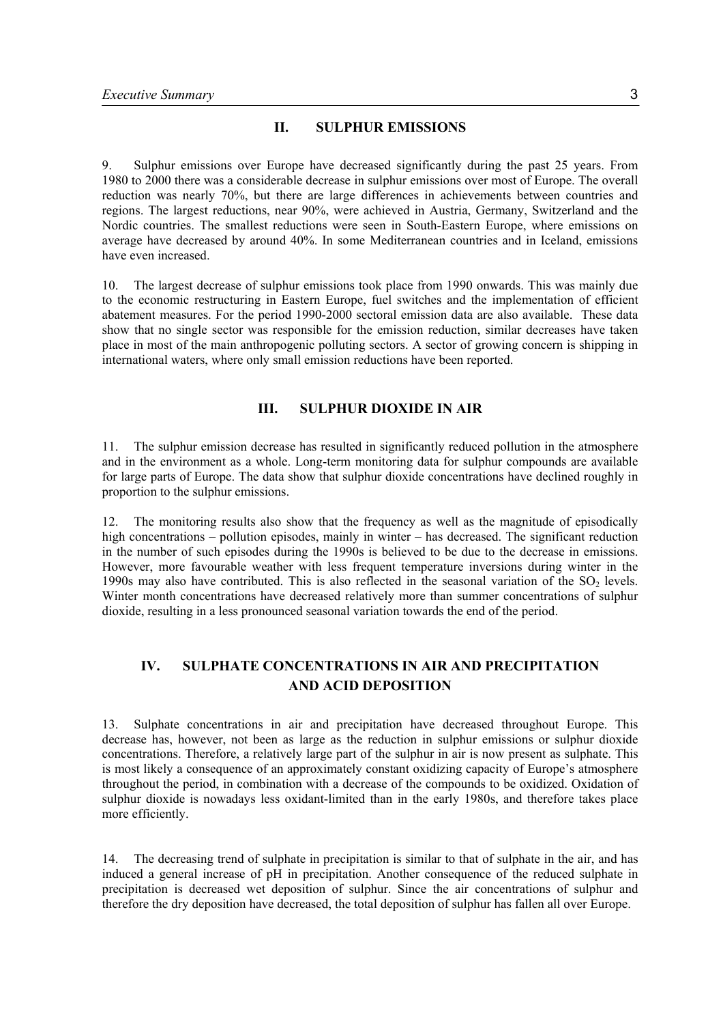## **II. SULPHUR EMISSIONS**

9. Sulphur emissions over Europe have decreased significantly during the past 25 years. From 1980 to 2000 there was a considerable decrease in sulphur emissions over most of Europe. The overall reduction was nearly 70%, but there are large differences in achievements between countries and regions. The largest reductions, near 90%, were achieved in Austria, Germany, Switzerland and the Nordic countries. The smallest reductions were seen in South-Eastern Europe, where emissions on average have decreased by around 40%. In some Mediterranean countries and in Iceland, emissions have even increased.

10. The largest decrease of sulphur emissions took place from 1990 onwards. This was mainly due to the economic restructuring in Eastern Europe, fuel switches and the implementation of efficient abatement measures. For the period 1990-2000 sectoral emission data are also available. These data show that no single sector was responsible for the emission reduction, similar decreases have taken place in most of the main anthropogenic polluting sectors. A sector of growing concern is shipping in international waters, where only small emission reductions have been reported.

# **III. SULPHUR DIOXIDE IN AIR**

11. The sulphur emission decrease has resulted in significantly reduced pollution in the atmosphere and in the environment as a whole. Long-term monitoring data for sulphur compounds are available for large parts of Europe. The data show that sulphur dioxide concentrations have declined roughly in proportion to the sulphur emissions.

12. The monitoring results also show that the frequency as well as the magnitude of episodically high concentrations – pollution episodes, mainly in winter – has decreased. The significant reduction in the number of such episodes during the 1990s is believed to be due to the decrease in emissions. However, more favourable weather with less frequent temperature inversions during winter in the 1990s may also have contributed. This is also reflected in the seasonal variation of the  $SO<sub>2</sub>$  levels. Winter month concentrations have decreased relatively more than summer concentrations of sulphur dioxide, resulting in a less pronounced seasonal variation towards the end of the period.

# **IV. SULPHATE CONCENTRATIONS IN AIR AND PRECIPITATION AND ACID DEPOSITION**

13. Sulphate concentrations in air and precipitation have decreased throughout Europe. This decrease has, however, not been as large as the reduction in sulphur emissions or sulphur dioxide concentrations. Therefore, a relatively large part of the sulphur in air is now present as sulphate. This is most likely a consequence of an approximately constant oxidizing capacity of Europe's atmosphere throughout the period, in combination with a decrease of the compounds to be oxidized. Oxidation of sulphur dioxide is nowadays less oxidant-limited than in the early 1980s, and therefore takes place more efficiently.

14. The decreasing trend of sulphate in precipitation is similar to that of sulphate in the air, and has induced a general increase of pH in precipitation. Another consequence of the reduced sulphate in precipitation is decreased wet deposition of sulphur. Since the air concentrations of sulphur and therefore the dry deposition have decreased, the total deposition of sulphur has fallen all over Europe.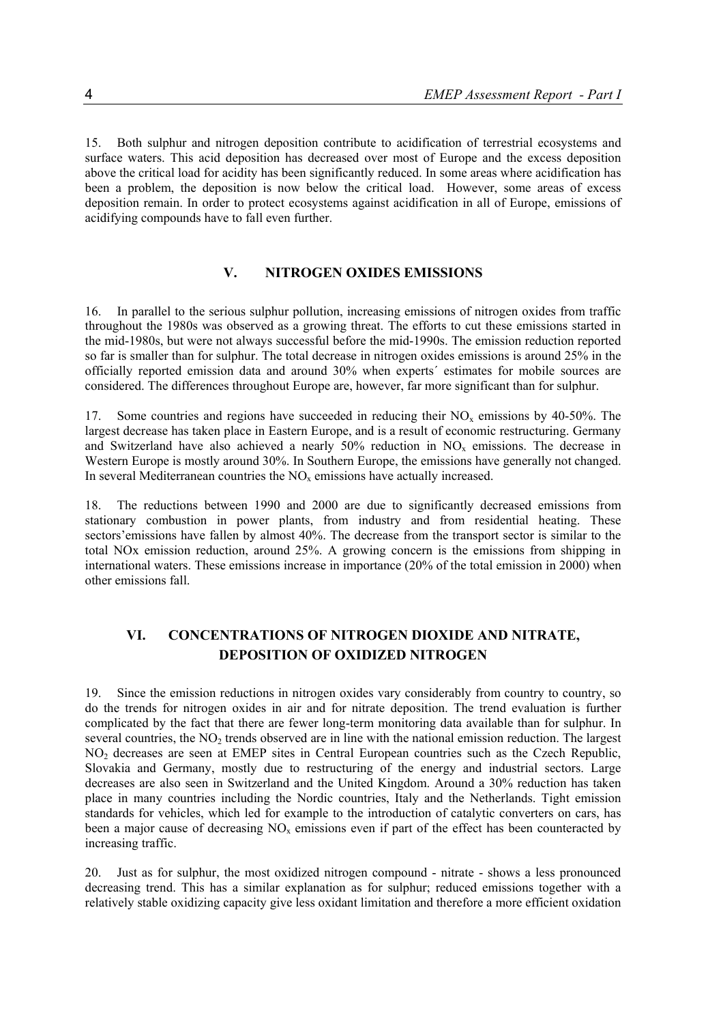15. Both sulphur and nitrogen deposition contribute to acidification of terrestrial ecosystems and surface waters. This acid deposition has decreased over most of Europe and the excess deposition above the critical load for acidity has been significantly reduced. In some areas where acidification has been a problem, the deposition is now below the critical load. However, some areas of excess deposition remain. In order to protect ecosystems against acidification in all of Europe, emissions of acidifying compounds have to fall even further.

# **V. NITROGEN OXIDES EMISSIONS**

16. In parallel to the serious sulphur pollution, increasing emissions of nitrogen oxides from traffic throughout the 1980s was observed as a growing threat. The efforts to cut these emissions started in the mid-1980s, but were not always successful before the mid-1990s. The emission reduction reported so far is smaller than for sulphur. The total decrease in nitrogen oxides emissions is around 25% in the officially reported emission data and around 30% when experts´ estimates for mobile sources are considered. The differences throughout Europe are, however, far more significant than for sulphur.

17. Some countries and regions have succeeded in reducing their  $NO<sub>x</sub>$  emissions by 40-50%. The largest decrease has taken place in Eastern Europe, and is a result of economic restructuring. Germany and Switzerland have also achieved a nearly  $50\%$  reduction in  $NO<sub>x</sub>$  emissions. The decrease in Western Europe is mostly around 30%. In Southern Europe, the emissions have generally not changed. In several Mediterranean countries the  $NO<sub>x</sub>$  emissions have actually increased.

18. The reductions between 1990 and 2000 are due to significantly decreased emissions from stationary combustion in power plants, from industry and from residential heating. These sectors' emissions have fallen by almost 40%. The decrease from the transport sector is similar to the total NOx emission reduction, around 25%. A growing concern is the emissions from shipping in international waters. These emissions increase in importance (20% of the total emission in 2000) when other emissions fall.

# **VI. CONCENTRATIONS OF NITROGEN DIOXIDE AND NITRATE, DEPOSITION OF OXIDIZED NITROGEN**

19. Since the emission reductions in nitrogen oxides vary considerably from country to country, so do the trends for nitrogen oxides in air and for nitrate deposition. The trend evaluation is further complicated by the fact that there are fewer long-term monitoring data available than for sulphur. In several countries, the  $NO<sub>2</sub>$  trends observed are in line with the national emission reduction. The largest NO<sub>2</sub> decreases are seen at EMEP sites in Central European countries such as the Czech Republic, Slovakia and Germany, mostly due to restructuring of the energy and industrial sectors. Large decreases are also seen in Switzerland and the United Kingdom. Around a 30% reduction has taken place in many countries including the Nordic countries, Italy and the Netherlands. Tight emission standards for vehicles, which led for example to the introduction of catalytic converters on cars, has been a major cause of decreasing  $NO<sub>x</sub>$  emissions even if part of the effect has been counteracted by increasing traffic.

20. Just as for sulphur, the most oxidized nitrogen compound - nitrate - shows a less pronounced decreasing trend. This has a similar explanation as for sulphur; reduced emissions together with a relatively stable oxidizing capacity give less oxidant limitation and therefore a more efficient oxidation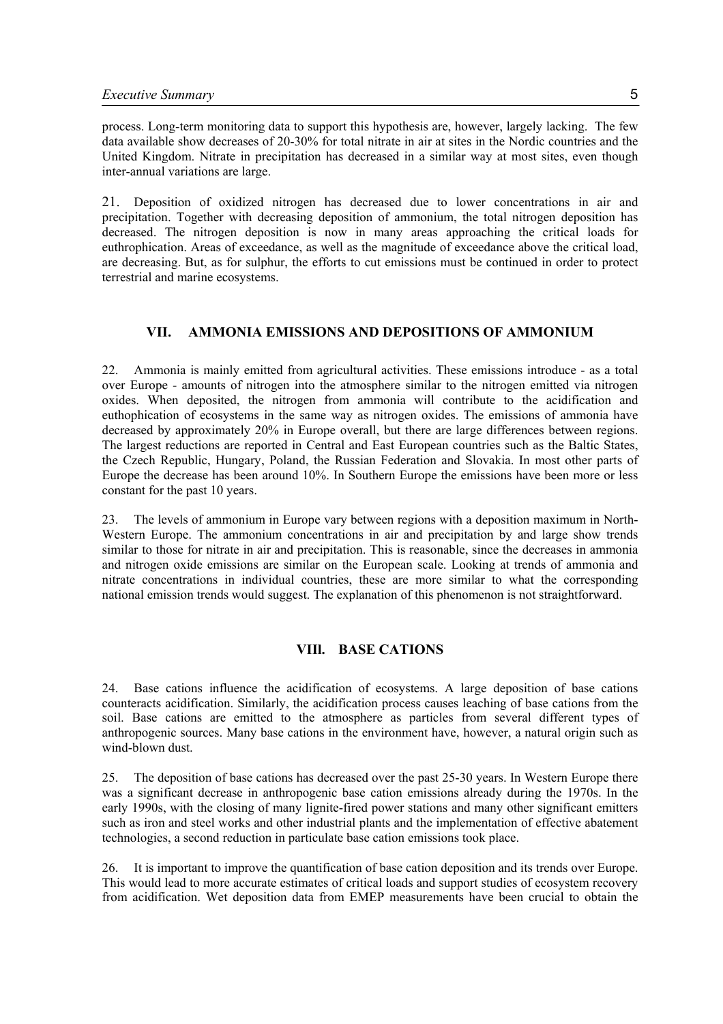process. Long-term monitoring data to support this hypothesis are, however, largely lacking. The few data available show decreases of 20-30% for total nitrate in air at sites in the Nordic countries and the United Kingdom. Nitrate in precipitation has decreased in a similar way at most sites, even though inter-annual variations are large.

21. Deposition of oxidized nitrogen has decreased due to lower concentrations in air and precipitation. Together with decreasing deposition of ammonium, the total nitrogen deposition has decreased. The nitrogen deposition is now in many areas approaching the critical loads for euthrophication. Areas of exceedance, as well as the magnitude of exceedance above the critical load, are decreasing. But, as for sulphur, the efforts to cut emissions must be continued in order to protect terrestrial and marine ecosystems.

#### **VII. AMMONIA EMISSIONS AND DEPOSITIONS OF AMMONIUM**

22. Ammonia is mainly emitted from agricultural activities. These emissions introduce - as a total over Europe - amounts of nitrogen into the atmosphere similar to the nitrogen emitted via nitrogen oxides. When deposited, the nitrogen from ammonia will contribute to the acidification and euthophication of ecosystems in the same way as nitrogen oxides. The emissions of ammonia have decreased by approximately 20% in Europe overall, but there are large differences between regions. The largest reductions are reported in Central and East European countries such as the Baltic States, the Czech Republic, Hungary, Poland, the Russian Federation and Slovakia. In most other parts of Europe the decrease has been around 10%. In Southern Europe the emissions have been more or less constant for the past 10 years.

23. The levels of ammonium in Europe vary between regions with a deposition maximum in North-Western Europe. The ammonium concentrations in air and precipitation by and large show trends similar to those for nitrate in air and precipitation. This is reasonable, since the decreases in ammonia and nitrogen oxide emissions are similar on the European scale. Looking at trends of ammonia and nitrate concentrations in individual countries, these are more similar to what the corresponding national emission trends would suggest. The explanation of this phenomenon is not straightforward.

# **VIIl. BASE CATIONS**

24. Base cations influence the acidification of ecosystems. A large deposition of base cations counteracts acidification. Similarly, the acidification process causes leaching of base cations from the soil. Base cations are emitted to the atmosphere as particles from several different types of anthropogenic sources. Many base cations in the environment have, however, a natural origin such as wind-blown dust.

25. The deposition of base cations has decreased over the past 25-30 years. In Western Europe there was a significant decrease in anthropogenic base cation emissions already during the 1970s. In the early 1990s, with the closing of many lignite-fired power stations and many other significant emitters such as iron and steel works and other industrial plants and the implementation of effective abatement technologies, a second reduction in particulate base cation emissions took place.

26. It is important to improve the quantification of base cation deposition and its trends over Europe. This would lead to more accurate estimates of critical loads and support studies of ecosystem recovery from acidification. Wet deposition data from EMEP measurements have been crucial to obtain the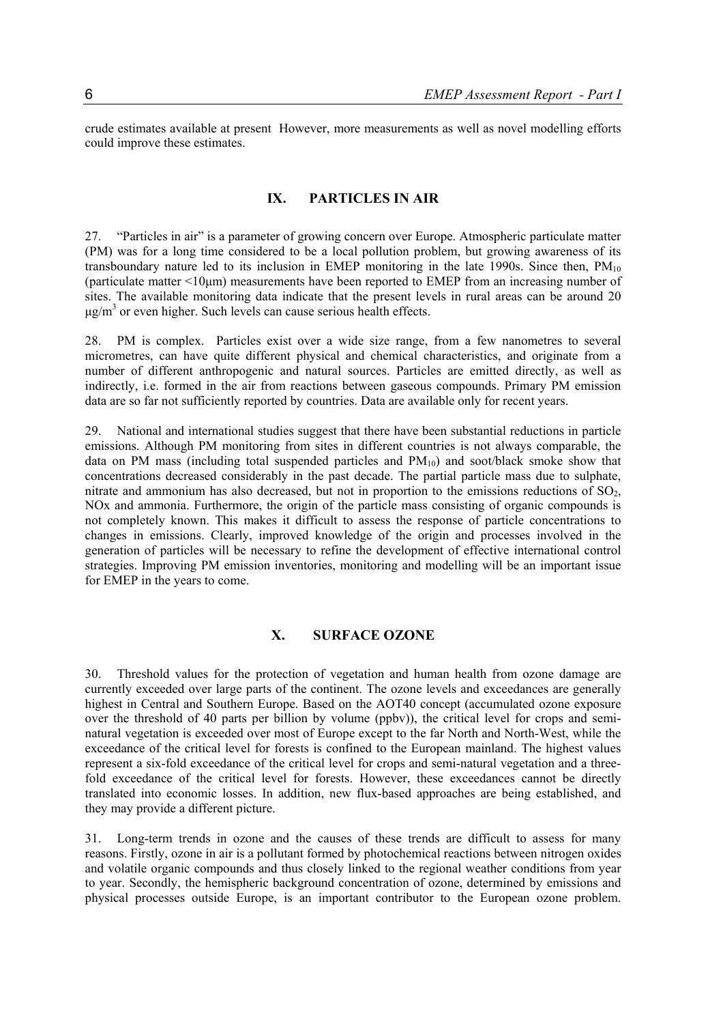crude estimates available at present However, more measurements as well as novel modelling efforts could improve these estimates.

#### **IX. PARTICLES IN AIR**

27. "Particles in air" is a parameter of growing concern over Europe. Atmospheric particulate matter (PM) was for a long time considered to be a local pollution problem, but growing awareness of its transboundary nature led to its inclusion in EMEP monitoring in the late 1990s. Since then,  $PM_{10}$ (particulate matter <10µm) measurements have been reported to EMEP from an increasing number of sites. The available monitoring data indicate that the present levels in rural areas can be around 20  $\mu$ g/m<sup>3</sup> or even higher. Such levels can cause serious health effects.

28. PM is complex. Particles exist over a wide size range, from a few nanometres to several micrometres, can have quite different physical and chemical characteristics, and originate from a number of different anthropogenic and natural sources. Particles are emitted directly, as well as indirectly, i.e. formed in the air from reactions between gaseous compounds. Primary PM emission data are so far not sufficiently reported by countries. Data are available only for recent years.

29. National and international studies suggest that there have been substantial reductions in particle emissions. Although PM monitoring from sites in different countries is not always comparable, the data on PM mass (including total suspended particles and  $PM_{10}$ ) and soot/black smoke show that concentrations decreased considerably in the past decade. The partial particle mass due to sulphate, nitrate and ammonium has also decreased, but not in proportion to the emissions reductions of  $SO<sub>2</sub>$ , NOx and ammonia. Furthermore, the origin of the particle mass consisting of organic compounds is not completely known. This makes it difficult to assess the response of particle concentrations to changes in emissions. Clearly, improved knowledge of the origin and processes involved in the generation of particles will be necessary to refine the development of effective international control strategies. Improving PM emission inventories, monitoring and modelling will be an important issue for EMEP in the years to come.

# **X. SURFACE OZONE**

30. Threshold values for the protection of vegetation and human health from ozone damage are currently exceeded over large parts of the continent. The ozone levels and exceedances are generally highest in Central and Southern Europe. Based on the AOT40 concept (accumulated ozone exposure over the threshold of 40 parts per billion by volume (ppbv)), the critical level for crops and seminatural vegetation is exceeded over most of Europe except to the far North and North-West, while the exceedance of the critical level for forests is confined to the European mainland. The highest values represent a six-fold exceedance of the critical level for crops and semi-natural vegetation and a threefold exceedance of the critical level for forests. However, these exceedances cannot be directly translated into economic losses. In addition, new flux-based approaches are being established, and they may provide a different picture.

31. Long-term trends in ozone and the causes of these trends are difficult to assess for many reasons. Firstly, ozone in air is a pollutant formed by photochemical reactions between nitrogen oxides and volatile organic compounds and thus closely linked to the regional weather conditions from year to year. Secondly, the hemispheric background concentration of ozone, determined by emissions and physical processes outside Europe, is an important contributor to the European ozone problem.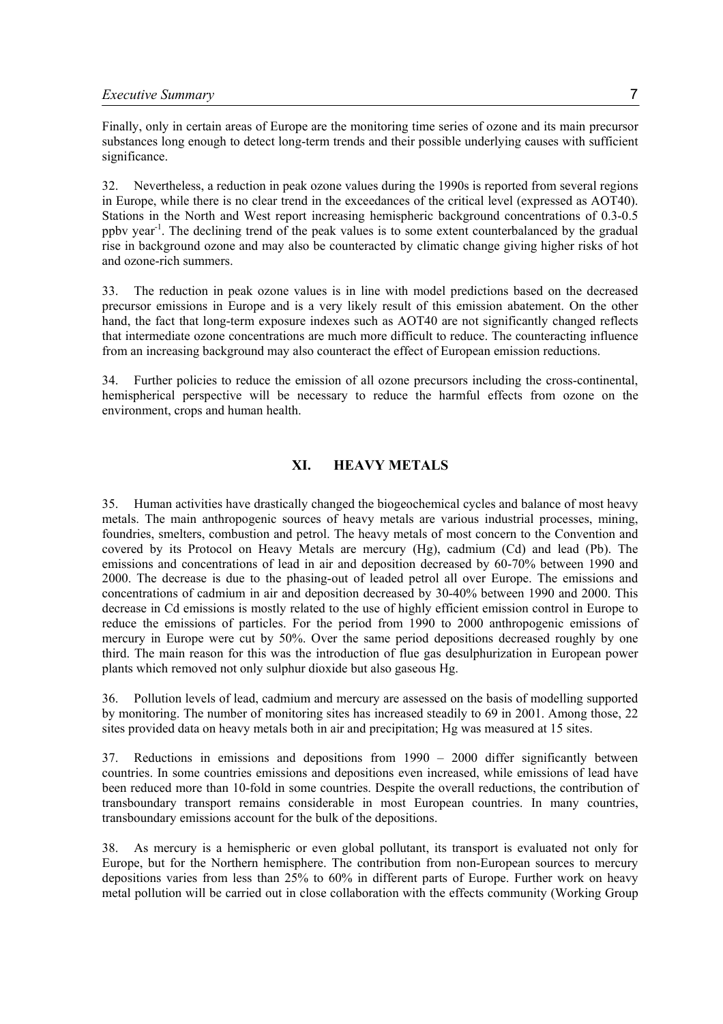Finally, only in certain areas of Europe are the monitoring time series of ozone and its main precursor substances long enough to detect long-term trends and their possible underlying causes with sufficient significance.

32. Nevertheless, a reduction in peak ozone values during the 1990s is reported from several regions in Europe, while there is no clear trend in the exceedances of the critical level (expressed as AOT40). Stations in the North and West report increasing hemispheric background concentrations of 0.3-0.5 ppbv year-1. The declining trend of the peak values is to some extent counterbalanced by the gradual rise in background ozone and may also be counteracted by climatic change giving higher risks of hot and ozone-rich summers.

33. The reduction in peak ozone values is in line with model predictions based on the decreased precursor emissions in Europe and is a very likely result of this emission abatement. On the other hand, the fact that long-term exposure indexes such as AOT40 are not significantly changed reflects that intermediate ozone concentrations are much more difficult to reduce. The counteracting influence from an increasing background may also counteract the effect of European emission reductions.

34. Further policies to reduce the emission of all ozone precursors including the cross-continental, hemispherical perspective will be necessary to reduce the harmful effects from ozone on the environment, crops and human health.

# **XI. HEAVY METALS**

35. Human activities have drastically changed the biogeochemical cycles and balance of most heavy metals. The main anthropogenic sources of heavy metals are various industrial processes, mining, foundries, smelters, combustion and petrol. The heavy metals of most concern to the Convention and covered by its Protocol on Heavy Metals are mercury (Hg), cadmium (Cd) and lead (Pb). The emissions and concentrations of lead in air and deposition decreased by 60-70% between 1990 and 2000. The decrease is due to the phasing-out of leaded petrol all over Europe. The emissions and concentrations of cadmium in air and deposition decreased by 30-40% between 1990 and 2000. This decrease in Cd emissions is mostly related to the use of highly efficient emission control in Europe to reduce the emissions of particles. For the period from 1990 to 2000 anthropogenic emissions of mercury in Europe were cut by 50%. Over the same period depositions decreased roughly by one third. The main reason for this was the introduction of flue gas desulphurization in European power plants which removed not only sulphur dioxide but also gaseous Hg.

36. Pollution levels of lead, cadmium and mercury are assessed on the basis of modelling supported by monitoring. The number of monitoring sites has increased steadily to 69 in 2001. Among those, 22 sites provided data on heavy metals both in air and precipitation; Hg was measured at 15 sites.

37. Reductions in emissions and depositions from 1990 – 2000 differ significantly between countries. In some countries emissions and depositions even increased, while emissions of lead have been reduced more than 10-fold in some countries. Despite the overall reductions, the contribution of transboundary transport remains considerable in most European countries. In many countries, transboundary emissions account for the bulk of the depositions.

38. As mercury is a hemispheric or even global pollutant, its transport is evaluated not only for Europe, but for the Northern hemisphere. The contribution from non-European sources to mercury depositions varies from less than 25% to 60% in different parts of Europe. Further work on heavy metal pollution will be carried out in close collaboration with the effects community (Working Group